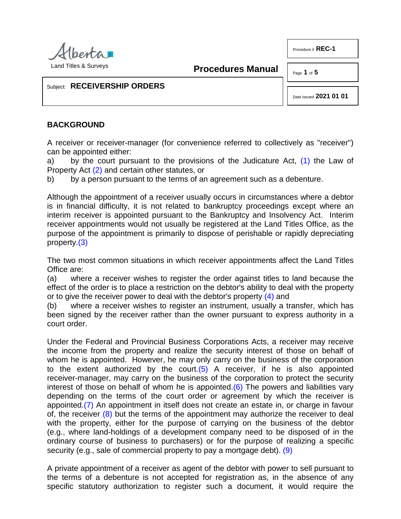

Land Titles & Surveys

**Procedures Manual**

Page **1** of **5**

Procedure # **REC-1**

Subject: **RECEIVERSHIP ORDERS**

<span id="page-0-3"></span><span id="page-0-0"></span>Date Issued **2021 01 01**

### **BACKGROUND**

A receiver or receiver-manager (for convenience referred to collectively as "receiver") can be appointed either:

<span id="page-0-1"></span>a) by the court pursuant to the provisions of the Judicature Act,  $(1)$  the Law of Property Act [\(2\)](#page-2-1) and certain other statutes, or

b) by a person pursuant to the terms of an agreement such as a debenture.

Although the appointment of a receiver usually occurs in circumstances where a debtor is in financial difficulty, it is not related to bankruptcy proceedings except where an interim receiver is appointed pursuant to the Bankruptcy and Insolvency Act. Interim receiver appointments would not usually be registered at the Land Titles Office, as the purpose of the appointment is primarily to dispose of perishable or rapidly depreciating property[.\(3\)](#page-2-2)

<span id="page-0-2"></span>The two most common situations in which receiver appointments affect the Land Titles Office are:

(a) where a receiver wishes to register the order against titles to land because the effect of the order is to place a restriction on the debtor's ability to deal with the property or to give the receiver power to deal with the debtor's property [\(4\)](#page-2-3) and

(b) where a receiver wishes to register an instrument, usually a transfer, which has been signed by the receiver rather than the owner pursuant to express authority in a court order.

<span id="page-0-6"></span><span id="page-0-5"></span><span id="page-0-4"></span>Under the Federal and Provincial Business Corporations Acts, a receiver may receive the income from the property and realize the security interest of those on behalf of whom he is appointed. However, he may only carry on the business of the corporation to the extent authorized by the court. $(5)$  A receiver, if he is also appointed receiver-manager, may carry on the business of the corporation to protect the security interest of those on behalf of whom he is appointed. $(6)$  The powers and liabilities vary depending on the terms of the court order or agreement by which the receiver is appointed[.\(7\)](#page-3-1) An appointment in itself does not create an estate in, or charge in favour of, the receiver  $(8)$  but the terms of the appointment may authorize the receiver to deal with the property, either for the purpose of carrying on the business of the debtor (e.g., where land-holdings of a development company need to be disposed of in the ordinary course of business to purchasers) or for the purpose of realizing a specific security (e.g., sale of commercial property to pay a mortgage debt). [\(9\)](#page-3-3)

<span id="page-0-8"></span><span id="page-0-7"></span>A private appointment of a receiver as agent of the debtor with power to sell pursuant to the terms of a debenture is not accepted for registration as, in the absence of any specific statutory authorization to register such a document, it would require the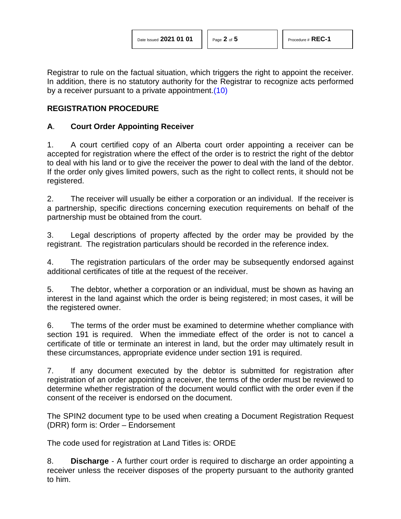Registrar to rule on the factual situation, which triggers the right to appoint the receiver. In addition, there is no statutory authority for the Registrar to recognize acts performed by a receiver pursuant to a private appointment[.\(10\)](#page-3-4)

## **REGISTRATION PROCEDURE**

## **A**. **Court Order Appointing Receiver**

1. A court certified copy of an Alberta court order appointing a receiver can be accepted for registration where the effect of the order is to restrict the right of the debtor to deal with his land or to give the receiver the power to deal with the land of the debtor. If the order only gives limited powers, such as the right to collect rents, it should not be registered.

2. The receiver will usually be either a corporation or an individual. If the receiver is a partnership, specific directions concerning execution requirements on behalf of the partnership must be obtained from the court.

3. Legal descriptions of property affected by the order may be provided by the registrant. The registration particulars should be recorded in the reference index.

4. The registration particulars of the order may be subsequently endorsed against additional certificates of title at the request of the receiver.

5. The debtor, whether a corporation or an individual, must be shown as having an interest in the land against which the order is being registered; in most cases, it will be the registered owner.

6. The terms of the order must be examined to determine whether compliance with section 191 is required. When the immediate effect of the order is not to cancel a certificate of title or terminate an interest in land, but the order may ultimately result in these circumstances, appropriate evidence under section 191 is required.

7. If any document executed by the debtor is submitted for registration after registration of an order appointing a receiver, the terms of the order must be reviewed to determine whether registration of the document would conflict with the order even if the consent of the receiver is endorsed on the document.

The SPIN2 document type to be used when creating a Document Registration Request (DRR) form is: Order – Endorsement

The code used for registration at Land Titles is: ORDE

8. **Discharge** - A further court order is required to discharge an order appointing a receiver unless the receiver disposes of the property pursuant to the authority granted to him.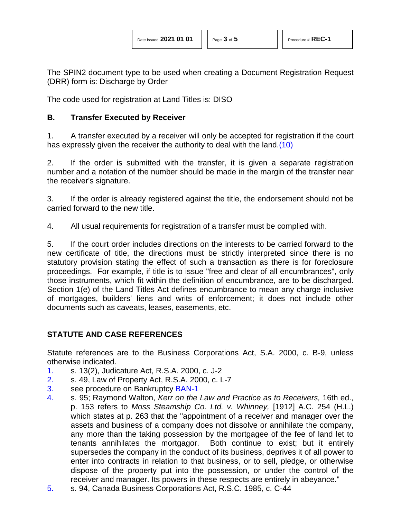The SPIN2 document type to be used when creating a Document Registration Request (DRR) form is: Discharge by Order

The code used for registration at Land Titles is: DISO

## **B. Transfer Executed by Receiver**

<span id="page-2-5"></span>1. A transfer executed by a receiver will only be accepted for registration if the court has expressly given the receiver the authority to deal with the land[.\(10\)](#page-3-4)

2. If the order is submitted with the transfer, it is given a separate registration number and a notation of the number should be made in the margin of the transfer near the receiver's signature.

3. If the order is already registered against the title, the endorsement should not be carried forward to the new title.

4. All usual requirements for registration of a transfer must be complied with.

5. If the court order includes directions on the interests to be carried forward to the new certificate of title, the directions must be strictly interpreted since there is no statutory provision stating the effect of such a transaction as there is for foreclosure proceedings. For example, if title is to issue "free and clear of all encumbrances", only those instruments, which fit within the definition of encumbrance, are to be discharged. Section 1(e) of the Land Titles Act defines encumbrance to mean any charge inclusive of mortgages, builders' liens and writs of enforcement; it does not include other documents such as caveats, leases, easements, etc.

# **STATUTE AND CASE REFERENCES**

Statute references are to the Business Corporations Act, S.A. 2000, c. B-9, unless otherwise indicated.

- <span id="page-2-0"></span>[1.](#page-0-0) s. 13(2), Judicature Act, R.S.A. 2000, c. J-2
- <span id="page-2-1"></span>[2.](#page-0-1) s. 49, Law of Property Act, R.S.A. 2000, c. L-7
- <span id="page-2-2"></span>[3.](#page-0-2) see procedure on Bankruptcy [BAN-1](http://www.servicealberta.ca/pdf/ltmanual/BAN-1.PDF)
- <span id="page-2-3"></span>[4.](#page-0-3) s. 95; Raymond Walton, *Kerr on the Law and Practice as to Receivers,* 16th ed., p. 153 refers to *Moss Steamship Co. Ltd. v. Whinney,* [1912] A.C. 254 (H.L.) which states at p. 263 that the "appointment of a receiver and manager over the assets and business of a company does not dissolve or annihilate the company, any more than the taking possession by the mortgagee of the fee of land let to tenants annihilates the mortgagor. Both continue to exist; but it entirely supersedes the company in the conduct of its business, deprives it of all power to enter into contracts in relation to that business, or to sell, pledge, or otherwise dispose of the property put into the possession, or under the control of the receiver and manager. Its powers in these respects are entirely in abeyance."
- <span id="page-2-4"></span>[5.](#page-0-4) s. 94, Canada Business Corporations Act, R.S.C. 1985, c. C-44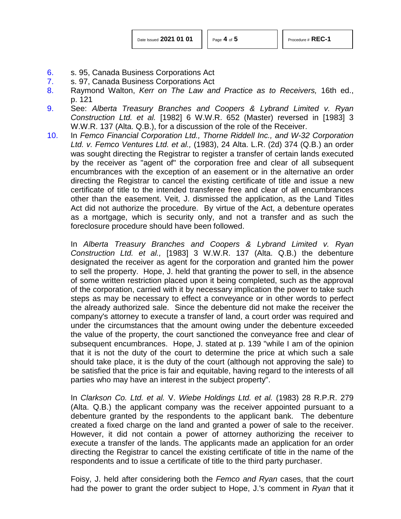| Date Issued 2021 01 01 |  |  |  |  |
|------------------------|--|--|--|--|
|------------------------|--|--|--|--|

- <span id="page-3-0"></span>[6.](#page-0-5) s. 95, Canada Business Corporations Act
- <span id="page-3-1"></span>[7.](#page-0-6) s. 97, Canada Business Corporations Act
- <span id="page-3-2"></span>[8.](#page-0-7) Raymond Walton, *Kerr on The Law and Practice as to Receivers,* 16th ed., p. 121
- <span id="page-3-3"></span>[9.](#page-0-8) See: *Alberta Treasury Branches and Coopers & Lybrand Limited v. Ryan Construction Ltd. et al.* [1982] 6 W.W.R. 652 (Master) reversed in [1983] 3 W.W.R. 137 (Alta. Q.B.), for a discussion of the role of the Receiver.
- <span id="page-3-4"></span>[10.](#page-2-5) In *Femco Financial Corporation Ltd., Thorne Riddell Inc., and W-32 Corporation Ltd. v. Femco Ventures Ltd. et al.,* (1983), 24 Alta. L.R. (2d) 374 (Q.B.) an order was sought directing the Registrar to register a transfer of certain lands executed by the receiver as "agent of" the corporation free and clear of all subsequent encumbrances with the exception of an easement or in the alternative an order directing the Registrar to cancel the existing certificate of title and issue a new certificate of title to the intended transferee free and clear of all encumbrances other than the easement. Veit, J. dismissed the application, as the Land Titles Act did not authorize the procedure. By virtue of the Act, a debenture operates as a mortgage, which is security only, and not a transfer and as such the foreclosure procedure should have been followed.

In *Alberta Treasury Branches and Coopers & Lybrand Limited v. Ryan Construction Ltd. et al.,* [1983] 3 W.W.R. 137 (Alta. Q.B.) the debenture designated the receiver as agent for the corporation and granted him the power to sell the property. Hope, J. held that granting the power to sell, in the absence of some written restriction placed upon it being completed, such as the approval of the corporation, carried with it by necessary implication the power to take such steps as may be necessary to effect a conveyance or in other words to perfect the already authorized sale. Since the debenture did not make the receiver the company's attorney to execute a transfer of land, a court order was required and under the circumstances that the amount owing under the debenture exceeded the value of the property, the court sanctioned the conveyance free and clear of subsequent encumbrances. Hope, J. stated at p. 139 "while I am of the opinion that it is not the duty of the court to determine the price at which such a sale should take place, it is the duty of the court (although not approving the sale) to be satisfied that the price is fair and equitable, having regard to the interests of all parties who may have an interest in the subject property".

In *Clarkson Co. Ltd. et al.* V. *Wiebe Holdings Ltd. et al.* (1983) 28 R.P.R. 279 (Alta. Q.B.) the applicant company was the receiver appointed pursuant to a debenture granted by the respondents to the applicant bank. The debenture created a fixed charge on the land and granted a power of sale to the receiver. However, it did not contain a power of attorney authorizing the receiver to execute a transfer of the lands. The applicants made an application for an order directing the Registrar to cancel the existing certificate of title in the name of the respondents and to issue a certificate of title to the third party purchaser.

Foisy, J. held after considering both the *Femco and Ryan* cases, that the court had the power to grant the order subject to Hope, J.'s comment in *Ryan* that it